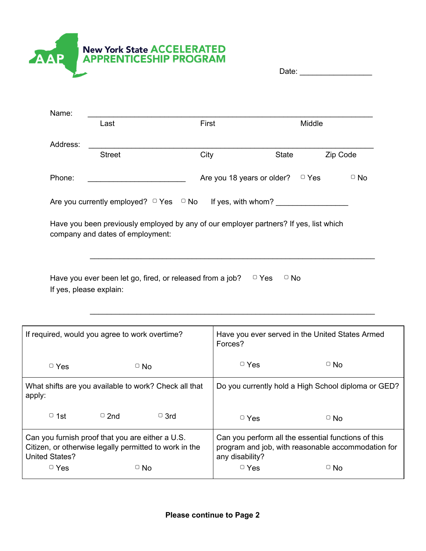

| Date: |  |
|-------|--|
|       |  |

|          | Last                                                                                                                      | First                                 | Middle       |           |
|----------|---------------------------------------------------------------------------------------------------------------------------|---------------------------------------|--------------|-----------|
| Address: |                                                                                                                           |                                       |              |           |
|          | <b>Street</b>                                                                                                             | City                                  | <b>State</b> | Zip Code  |
| Phone:   |                                                                                                                           | Are you 18 years or older? $\Box$ Yes |              | $\Box$ No |
|          |                                                                                                                           |                                       |              |           |
|          | Are you currently employed? $\Box$ Yes $\Box$ No If yes, with whom?                                                       |                                       |              |           |
|          | Have you been previously employed by any of our employer partners? If yes, list which<br>company and dates of employment: |                                       |              |           |

| If required, would you agree to work overtime?                                                                               |            | Have you ever served in the United States Armed<br>Forces?                                                                   |            |                       |
|------------------------------------------------------------------------------------------------------------------------------|------------|------------------------------------------------------------------------------------------------------------------------------|------------|-----------------------|
| $\Box$ Yes                                                                                                                   |            | $\Box$ No                                                                                                                    | $\Box$ Yes | $\overline{\circ}$ No |
| What shifts are you available to work? Check all that<br>apply:                                                              |            | Do you currently hold a High School diploma or GED?                                                                          |            |                       |
| $\Box$ 1st                                                                                                                   | $\Box$ 2nd | $\Box$ 3rd                                                                                                                   | $\Box$ Yes | $\Box$ No             |
| Can you furnish proof that you are either a U.S.<br>Citizen, or otherwise legally permitted to work in the<br>United States? |            | Can you perform all the essential functions of this<br>program and job, with reasonable accommodation for<br>any disability? |            |                       |
| $\Box$ Yes                                                                                                                   |            | $\Box$ No                                                                                                                    | $\Box$ Yes | $\circ$ No            |